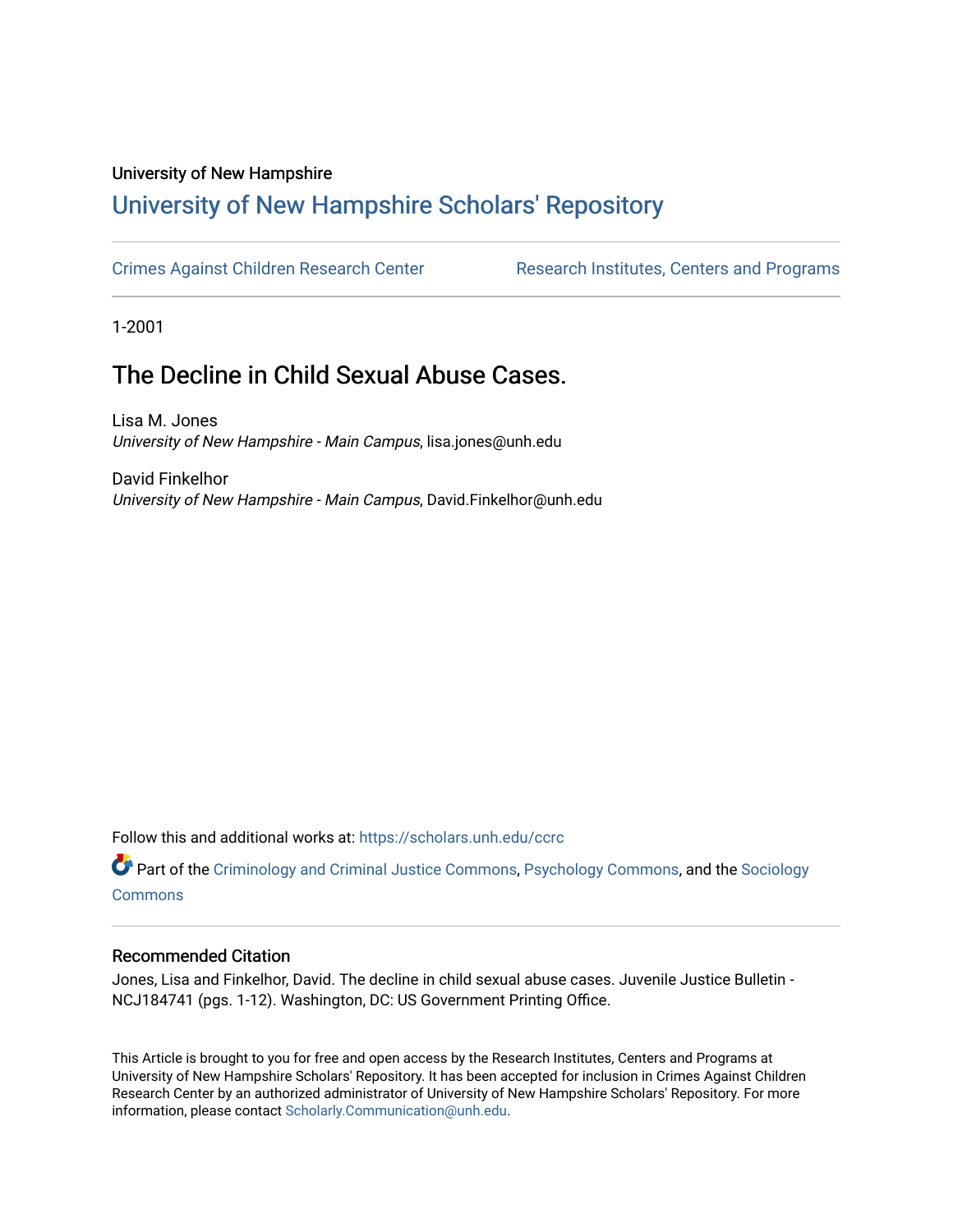#### University of New Hampshire

# [University of New Hampshire Scholars' Repository](https://scholars.unh.edu/)

[Crimes Against Children Research Center](https://scholars.unh.edu/ccrc) **Research Institutes, Centers and Programs** 

1-2001

# The Decline in Child Sexual Abuse Cases.

Lisa M. Jones University of New Hampshire - Main Campus, lisa.jones@unh.edu

David Finkelhor University of New Hampshire - Main Campus, David.Finkelhor@unh.edu

Follow this and additional works at: [https://scholars.unh.edu/ccrc](https://scholars.unh.edu/ccrc?utm_source=scholars.unh.edu%2Fccrc%2F6&utm_medium=PDF&utm_campaign=PDFCoverPages) 

Part of the [Criminology and Criminal Justice Commons](http://network.bepress.com/hgg/discipline/367?utm_source=scholars.unh.edu%2Fccrc%2F6&utm_medium=PDF&utm_campaign=PDFCoverPages), [Psychology Commons](http://network.bepress.com/hgg/discipline/404?utm_source=scholars.unh.edu%2Fccrc%2F6&utm_medium=PDF&utm_campaign=PDFCoverPages), and the [Sociology](http://network.bepress.com/hgg/discipline/416?utm_source=scholars.unh.edu%2Fccrc%2F6&utm_medium=PDF&utm_campaign=PDFCoverPages)  [Commons](http://network.bepress.com/hgg/discipline/416?utm_source=scholars.unh.edu%2Fccrc%2F6&utm_medium=PDF&utm_campaign=PDFCoverPages)

#### Recommended Citation

Jones, Lisa and Finkelhor, David. The decline in child sexual abuse cases. Juvenile Justice Bulletin - NCJ184741 (pgs. 1-12). Washington, DC: US Government Printing Office.

This Article is brought to you for free and open access by the Research Institutes, Centers and Programs at University of New Hampshire Scholars' Repository. It has been accepted for inclusion in Crimes Against Children Research Center by an authorized administrator of University of New Hampshire Scholars' Repository. For more information, please contact [Scholarly.Communication@unh.edu.](mailto:Scholarly.Communication@unh.edu)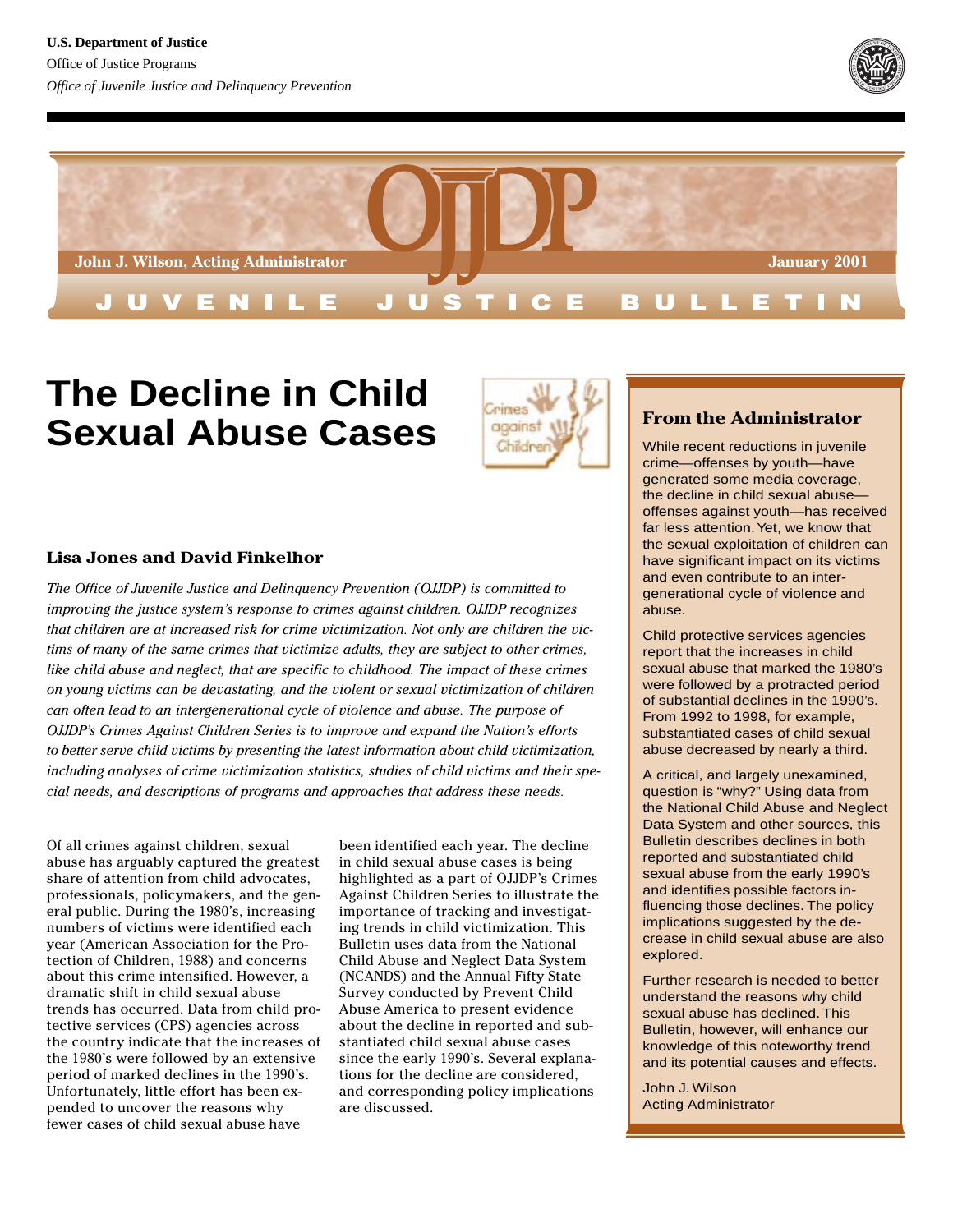



# **The Decline in Child Sexual Abuse Cases**



#### **Lisa Jones and David Finkelhor**

*The Office of Juvenile Justice and Delinquency Prevention (OJJDP) is committed to improving the justice system's response to crimes against children. OJJDP recognizes that children are at increased risk for crime victimization. Not only are children the victims of many of the same crimes that victimize adults, they are subject to other crimes, like child abuse and neglect, that are specific to childhood. The impact of these crimes on young victims can be devastating, and the violent or sexual victimization of children can often lead to an intergenerational cycle of violence and abuse. The purpose of OJJDP's Crimes Against Children Series is to improve and expand the Nation's efforts to better serve child victims by presenting the latest information about child victimization, including analyses of crime victimization statistics, studies of child victims and their special needs, and descriptions of programs and approaches that address these needs.*

Of all crimes against children, sexual abuse has arguably captured the greatest share of attention from child advocates, professionals, policymakers, and the general public. During the 1980's, increasing numbers of victims were identified each year (American Association for the Protection of Children, 1988) and concerns about this crime intensified. However, a dramatic shift in child sexual abuse trends has occurred. Data from child protective services (CPS) agencies across the country indicate that the increases of the 1980's were followed by an extensive period of marked declines in the 1990's. Unfortunately, little effort has been expended to uncover the reasons why fewer cases of child sexual abuse have

been identified each year. The decline in child sexual abuse cases is being highlighted as a part of OJJDP's Crimes Against Children Series to illustrate the importance of tracking and investigating trends in child victimization. This Bulletin uses data from the National Child Abuse and Neglect Data System (NCANDS) and the Annual Fifty State Survey conducted by Prevent Child Abuse America to present evidence about the decline in reported and substantiated child sexual abuse cases since the early 1990's. Several explanations for the decline are considered, and corresponding policy implications are discussed.

#### **From the Administrator**

While recent reductions in juvenile crime—offenses by youth—have generated some media coverage, the decline in child sexual abuse offenses against youth—has received far less attention. Yet, we know that the sexual exploitation of children can have significant impact on its victims and even contribute to an intergenerational cycle of violence and abuse.

Child protective services agencies report that the increases in child sexual abuse that marked the 1980's were followed by a protracted period of substantial declines in the 1990's. From 1992 to 1998, for example, substantiated cases of child sexual abuse decreased by nearly a third.

A critical, and largely unexamined, question is "why?" Using data from the National Child Abuse and Neglect Data System and other sources, this Bulletin describes declines in both reported and substantiated child sexual abuse from the early 1990's and identifies possible factors influencing those declines. The policy implications suggested by the decrease in child sexual abuse are also explored.

Further research is needed to better understand the reasons why child sexual abuse has declined. This Bulletin, however, will enhance our knowledge of this noteworthy trend and its potential causes and effects.

John J. Wilson Acting Administrator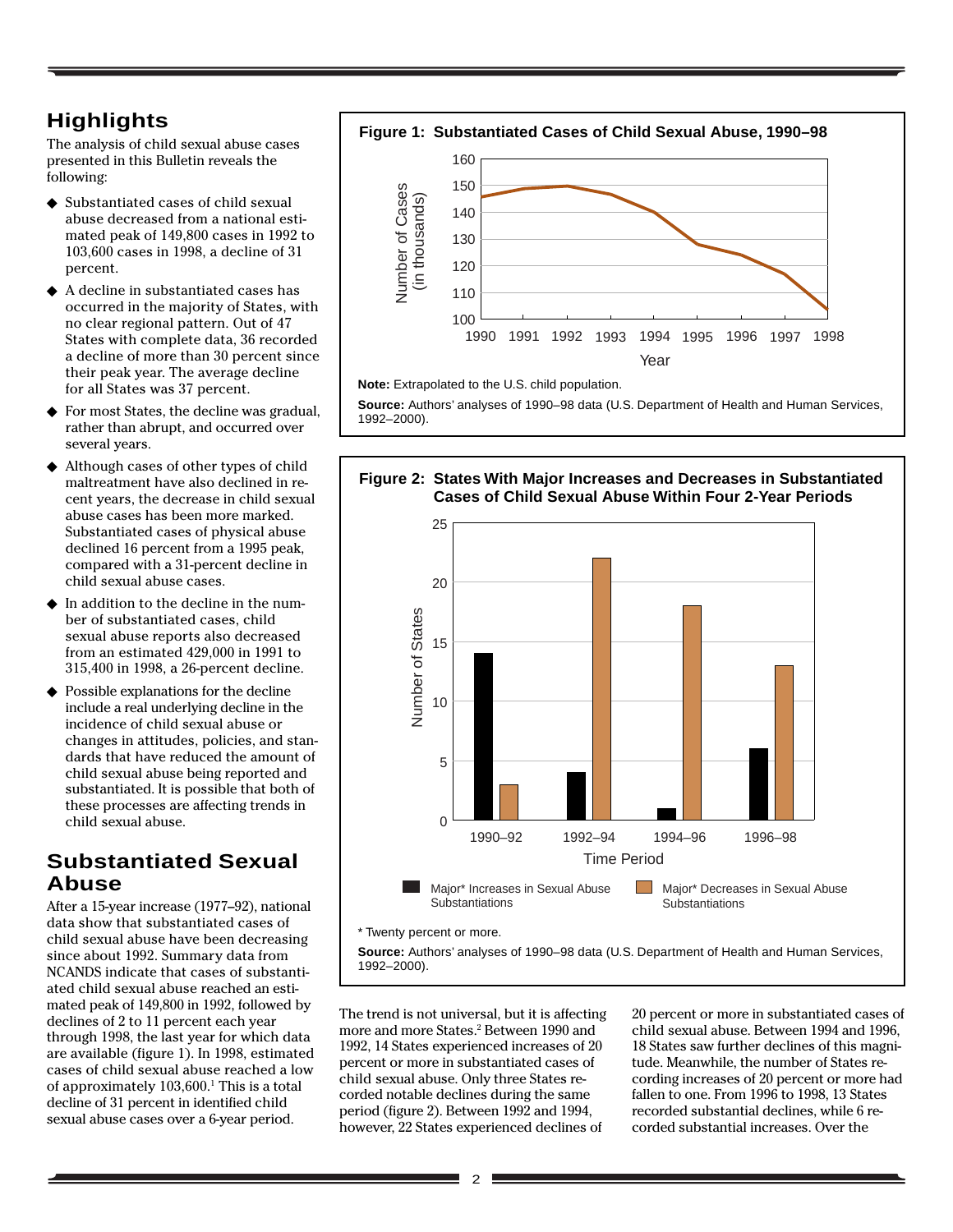# **Highlights**

The analysis of child sexual abuse cases presented in this Bulletin reveals the following:

- ◆ Substantiated cases of child sexual abuse decreased from a national estimated peak of 149,800 cases in 1992 to 103,600 cases in 1998, a decline of 31 percent.
- ◆ A decline in substantiated cases has occurred in the majority of States, with no clear regional pattern. Out of 47 States with complete data, 36 recorded a decline of more than 30 percent since their peak year. The average decline for all States was 37 percent.
- ◆ For most States, the decline was gradual, rather than abrupt, and occurred over several years.
- ◆ Although cases of other types of child maltreatment have also declined in recent years, the decrease in child sexual abuse cases has been more marked. Substantiated cases of physical abuse declined 16 percent from a 1995 peak, compared with a 31-percent decline in child sexual abuse cases.
- In addition to the decline in the number of substantiated cases, child sexual abuse reports also decreased from an estimated 429,000 in 1991 to 315,400 in 1998, a 26-percent decline.
- ◆ Possible explanations for the decline include a real underlying decline in the incidence of child sexual abuse or changes in attitudes, policies, and standards that have reduced the amount of child sexual abuse being reported and substantiated. It is possible that both of these processes are affecting trends in child sexual abuse.

# **Substantiated Sexual Abuse**

After a 15-year increase (1977–92), national data show that substantiated cases of child sexual abuse have been decreasing since about 1992. Summary data from NCANDS indicate that cases of substantiated child sexual abuse reached an estimated peak of 149,800 in 1992, followed by declines of 2 to 11 percent each year through 1998, the last year for which data are available (figure 1). In 1998, estimated cases of child sexual abuse reached a low of approximately 103,600.<sup>1</sup> This is a total decline of 31 percent in identified child sexual abuse cases over a 6-year period.



**Note:** Extrapolated to the U.S. child population.

**Source:** Authors' analyses of 1990–98 data (U.S. Department of Health and Human Services, 1992–2000).



The trend is not universal, but it is affecting more and more States.2 Between 1990 and 1992, 14 States experienced increases of 20 percent or more in substantiated cases of child sexual abuse. Only three States recorded notable declines during the same period (figure 2). Between 1992 and 1994, however, 22 States experienced declines of

20 percent or more in substantiated cases of child sexual abuse. Between 1994 and 1996, 18 States saw further declines of this magnitude. Meanwhile, the number of States recording increases of 20 percent or more had fallen to one. From 1996 to 1998, 13 States recorded substantial declines, while 6 recorded substantial increases. Over the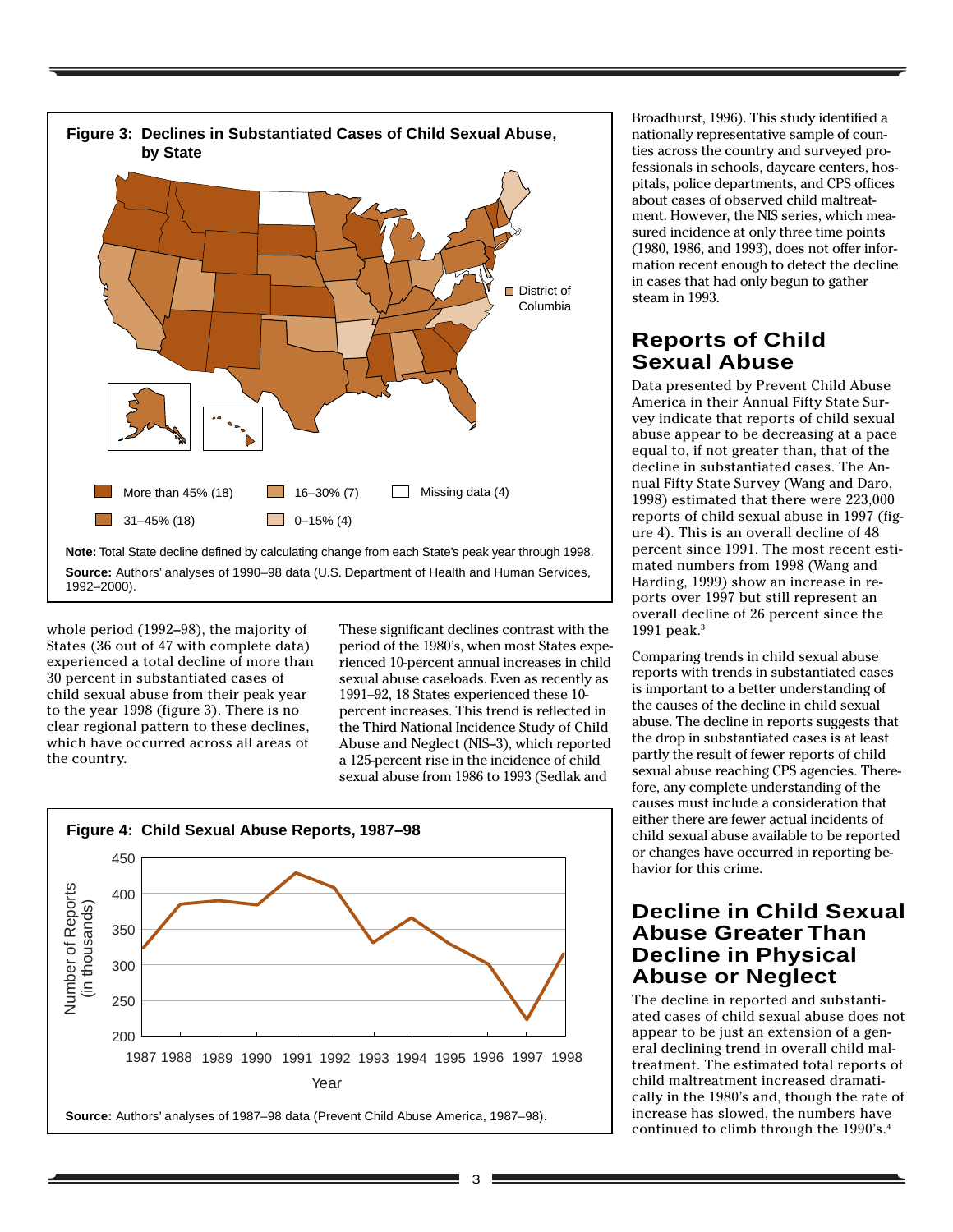

whole period (1992–98), the majority of States (36 out of 47 with complete data) experienced a total decline of more than 30 percent in substantiated cases of child sexual abuse from their peak year to the year 1998 (figure 3). There is no clear regional pattern to these declines, which have occurred across all areas of the country.

These significant declines contrast with the period of the 1980's, when most States experienced 10-percent annual increases in child sexual abuse caseloads. Even as recently as 1991–92, 18 States experienced these 10 percent increases. This trend is reflected in the Third National Incidence Study of Child Abuse and Neglect (NIS–3), which reported a 125-percent rise in the incidence of child sexual abuse from 1986 to 1993 (Sedlak and



Broadhurst, 1996). This study identified a nationally representative sample of counties across the country and surveyed professionals in schools, daycare centers, hospitals, police departments, and CPS offices about cases of observed child maltreatment. However, the NIS series, which measured incidence at only three time points (1980, 1986, and 1993), does not offer information recent enough to detect the decline in cases that had only begun to gather steam in 1993.

# **Reports of Child Sexual Abuse**

Data presented by Prevent Child Abuse America in their Annual Fifty State Survey indicate that reports of child sexual abuse appear to be decreasing at a pace equal to, if not greater than, that of the decline in substantiated cases. The Annual Fifty State Survey (Wang and Daro, 1998) estimated that there were 223,000 reports of child sexual abuse in 1997 (figure 4). This is an overall decline of 48 percent since 1991. The most recent estimated numbers from 1998 (Wang and Harding, 1999) show an increase in reports over 1997 but still represent an overall decline of 26 percent since the 1991 peak.3

Comparing trends in child sexual abuse reports with trends in substantiated cases is important to a better understanding of the causes of the decline in child sexual abuse. The decline in reports suggests that the drop in substantiated cases is at least partly the result of fewer reports of child sexual abuse reaching CPS agencies. Therefore, any complete understanding of the causes must include a consideration that either there are fewer actual incidents of child sexual abuse available to be reported or changes have occurred in reporting behavior for this crime.

## **Decline in Child Sexual Abuse Greater Than Decline in Physical Abuse or Neglect**

The decline in reported and substantiated cases of child sexual abuse does not appear to be just an extension of a general declining trend in overall child maltreatment. The estimated total reports of child maltreatment increased dramatically in the 1980's and, though the rate of increase has slowed, the numbers have continued to climb through the 1990's.4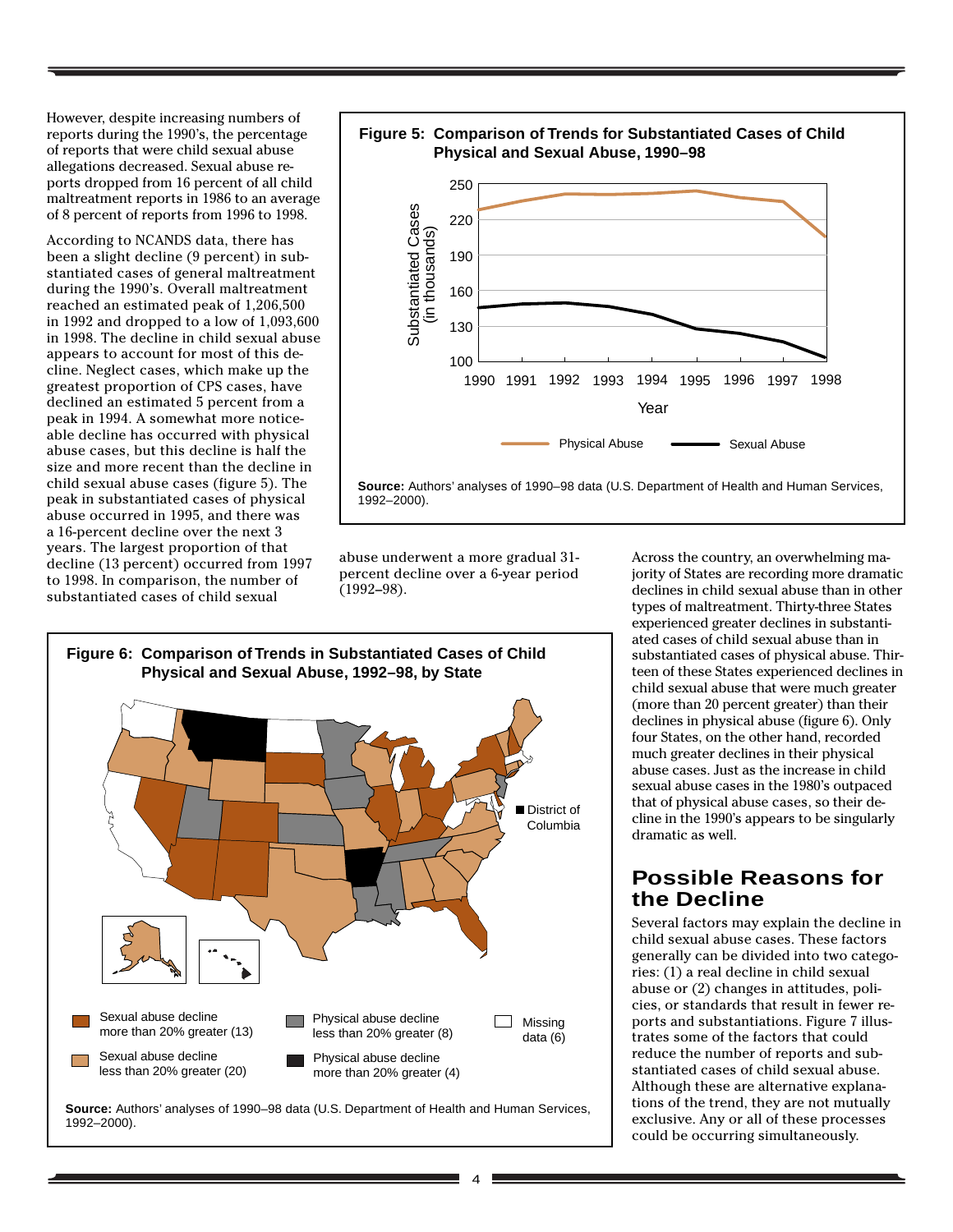However, despite increasing numbers of reports during the 1990's, the percentage of reports that were child sexual abuse allegations decreased. Sexual abuse reports dropped from 16 percent of all child maltreatment reports in 1986 to an average of 8 percent of reports from 1996 to 1998.

According to NCANDS data, there has been a slight decline (9 percent) in substantiated cases of general maltreatment during the 1990's. Overall maltreatment reached an estimated peak of 1,206,500 in 1992 and dropped to a low of 1,093,600 in 1998. The decline in child sexual abuse appears to account for most of this decline. Neglect cases, which make up the greatest proportion of CPS cases, have declined an estimated 5 percent from a peak in 1994. A somewhat more noticeable decline has occurred with physical abuse cases, but this decline is half the size and more recent than the decline in child sexual abuse cases (figure 5). The peak in substantiated cases of physical abuse occurred in 1995, and there was a 16-percent decline over the next 3 years. The largest proportion of that decline (13 percent) occurred from 1997 to 1998. In comparison, the number of substantiated cases of child sexual



**Source:** Authors' analyses of 1990–98 data (U.S. Department of Health and Human Services, 1992–2000).

abuse underwent a more gradual 31 percent decline over a 6-year period (1992–98).



**Source:** Authors' analyses of 1990–98 data (U.S. Department of Health and Human Services, 1992–2000).

Across the country, an overwhelming majority of States are recording more dramatic declines in child sexual abuse than in other types of maltreatment. Thirty-three States experienced greater declines in substantiated cases of child sexual abuse than in substantiated cases of physical abuse. Thirteen of these States experienced declines in child sexual abuse that were much greater (more than 20 percent greater) than their declines in physical abuse (figure 6). Only four States, on the other hand, recorded much greater declines in their physical abuse cases. Just as the increase in child sexual abuse cases in the 1980's outpaced that of physical abuse cases, so their decline in the 1990's appears to be singularly dramatic as well.

### **Possible Reasons for the Decline**

Several factors may explain the decline in child sexual abuse cases. These factors generally can be divided into two categories: (1) a real decline in child sexual abuse or (2) changes in attitudes, policies, or standards that result in fewer reports and substantiations. Figure 7 illustrates some of the factors that could reduce the number of reports and substantiated cases of child sexual abuse. Although these are alternative explanations of the trend, they are not mutually exclusive. Any or all of these processes could be occurring simultaneously.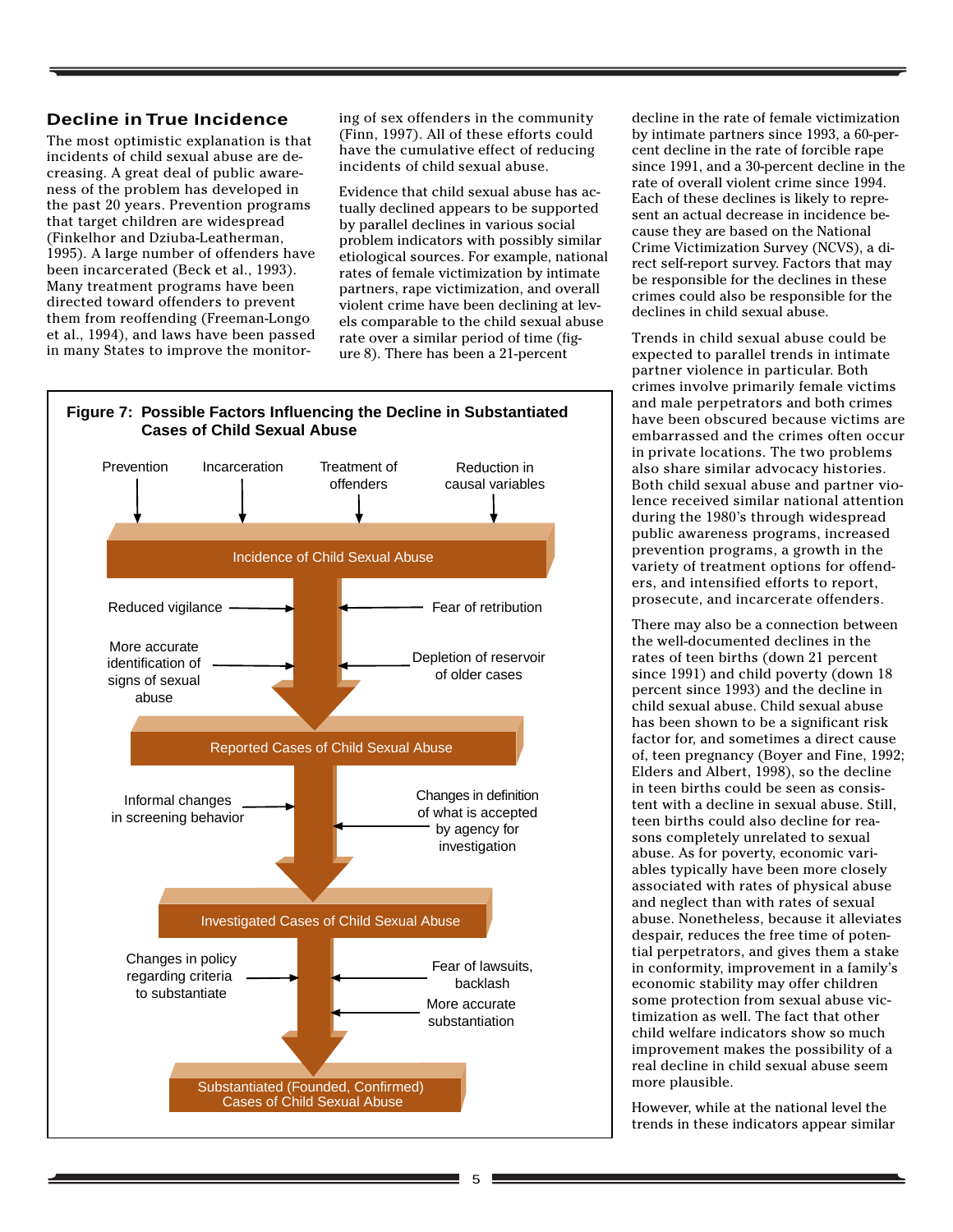#### **Decline in True Incidence**

The most optimistic explanation is that incidents of child sexual abuse are decreasing. A great deal of public awareness of the problem has developed in the past 20 years. Prevention programs that target children are widespread (Finkelhor and Dziuba-Leatherman, 1995). A large number of offenders have been incarcerated (Beck et al., 1993). Many treatment programs have been directed toward offenders to prevent them from reoffending (Freeman-Longo et al., 1994), and laws have been passed in many States to improve the monitoring of sex offenders in the community (Finn, 1997). All of these efforts could have the cumulative effect of reducing incidents of child sexual abuse.

Evidence that child sexual abuse has actually declined appears to be supported by parallel declines in various social problem indicators with possibly similar etiological sources. For example, national rates of female victimization by intimate partners, rape victimization, and overall violent crime have been declining at levels comparable to the child sexual abuse rate over a similar period of time (figure 8). There has been a 21-percent



decline in the rate of female victimization by intimate partners since 1993, a 60-percent decline in the rate of forcible rape since 1991, and a 30-percent decline in the rate of overall violent crime since 1994. Each of these declines is likely to represent an actual decrease in incidence because they are based on the National Crime Victimization Survey (NCVS), a direct self-report survey. Factors that may be responsible for the declines in these crimes could also be responsible for the declines in child sexual abuse.

Trends in child sexual abuse could be expected to parallel trends in intimate partner violence in particular. Both crimes involve primarily female victims and male perpetrators and both crimes have been obscured because victims are embarrassed and the crimes often occur in private locations. The two problems also share similar advocacy histories. Both child sexual abuse and partner violence received similar national attention during the 1980's through widespread public awareness programs, increased prevention programs, a growth in the variety of treatment options for offenders, and intensified efforts to report, prosecute, and incarcerate offenders.

There may also be a connection between the well-documented declines in the rates of teen births (down 21 percent since 1991) and child poverty (down 18 percent since 1993) and the decline in child sexual abuse. Child sexual abuse has been shown to be a significant risk factor for, and sometimes a direct cause of, teen pregnancy (Boyer and Fine, 1992; Elders and Albert, 1998), so the decline in teen births could be seen as consistent with a decline in sexual abuse. Still, teen births could also decline for reasons completely unrelated to sexual abuse. As for poverty, economic variables typically have been more closely associated with rates of physical abuse and neglect than with rates of sexual abuse. Nonetheless, because it alleviates despair, reduces the free time of potential perpetrators, and gives them a stake in conformity, improvement in a family's economic stability may offer children some protection from sexual abuse victimization as well. The fact that other child welfare indicators show so much improvement makes the possibility of a real decline in child sexual abuse seem more plausible.

However, while at the national level the trends in these indicators appear similar

#### **Figure 7: Possible Factors Influencing the Decline in Substantiated Cases of Child Sexual Abuse**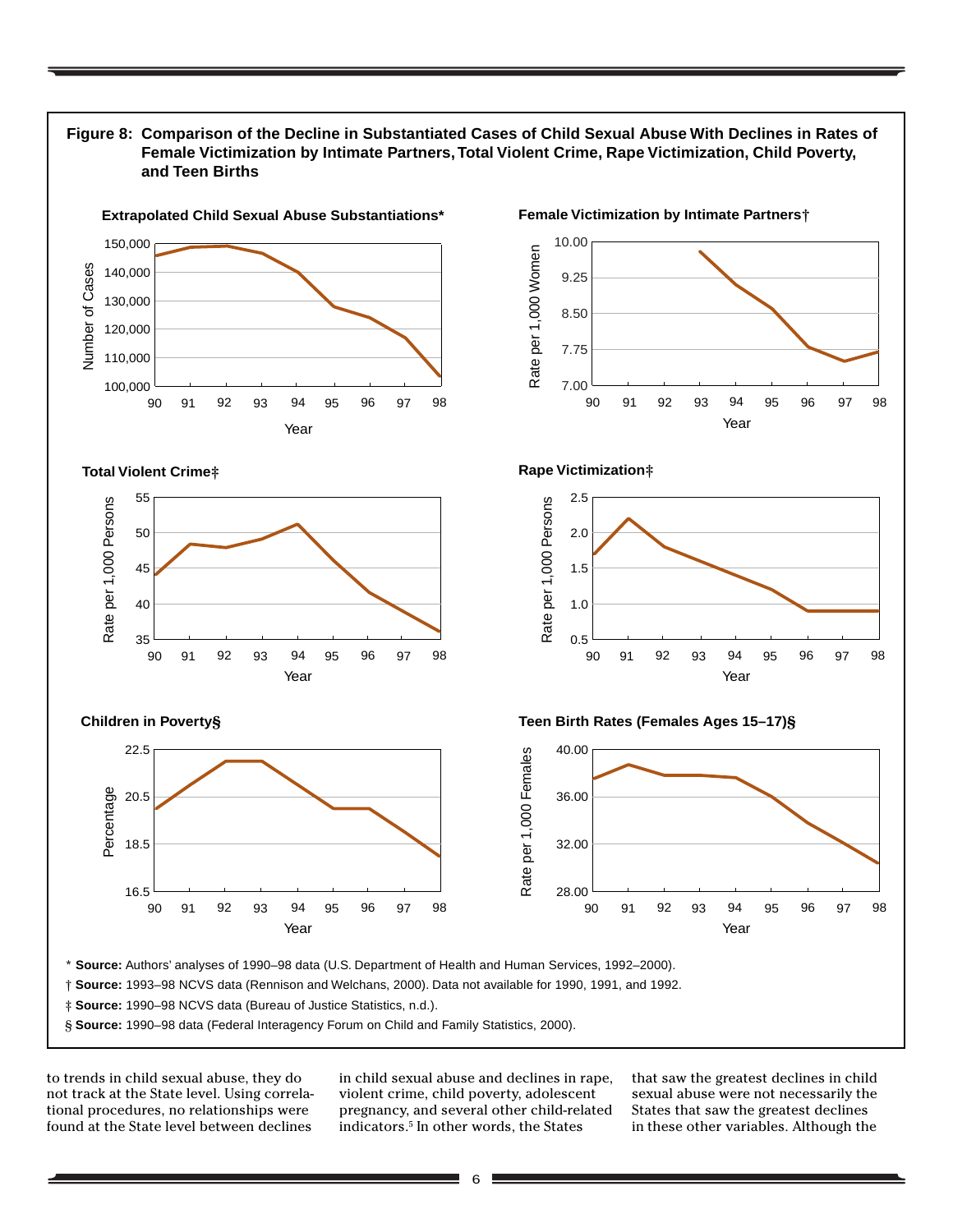

to trends in child sexual abuse, they do not track at the State level. Using correlational procedures, no relationships were found at the State level between declines

in child sexual abuse and declines in rape, violent crime, child poverty, adolescent pregnancy, and several other child-related indicators.5 In other words, the States

that saw the greatest declines in child sexual abuse were not necessarily the States that saw the greatest declines in these other variables. Although the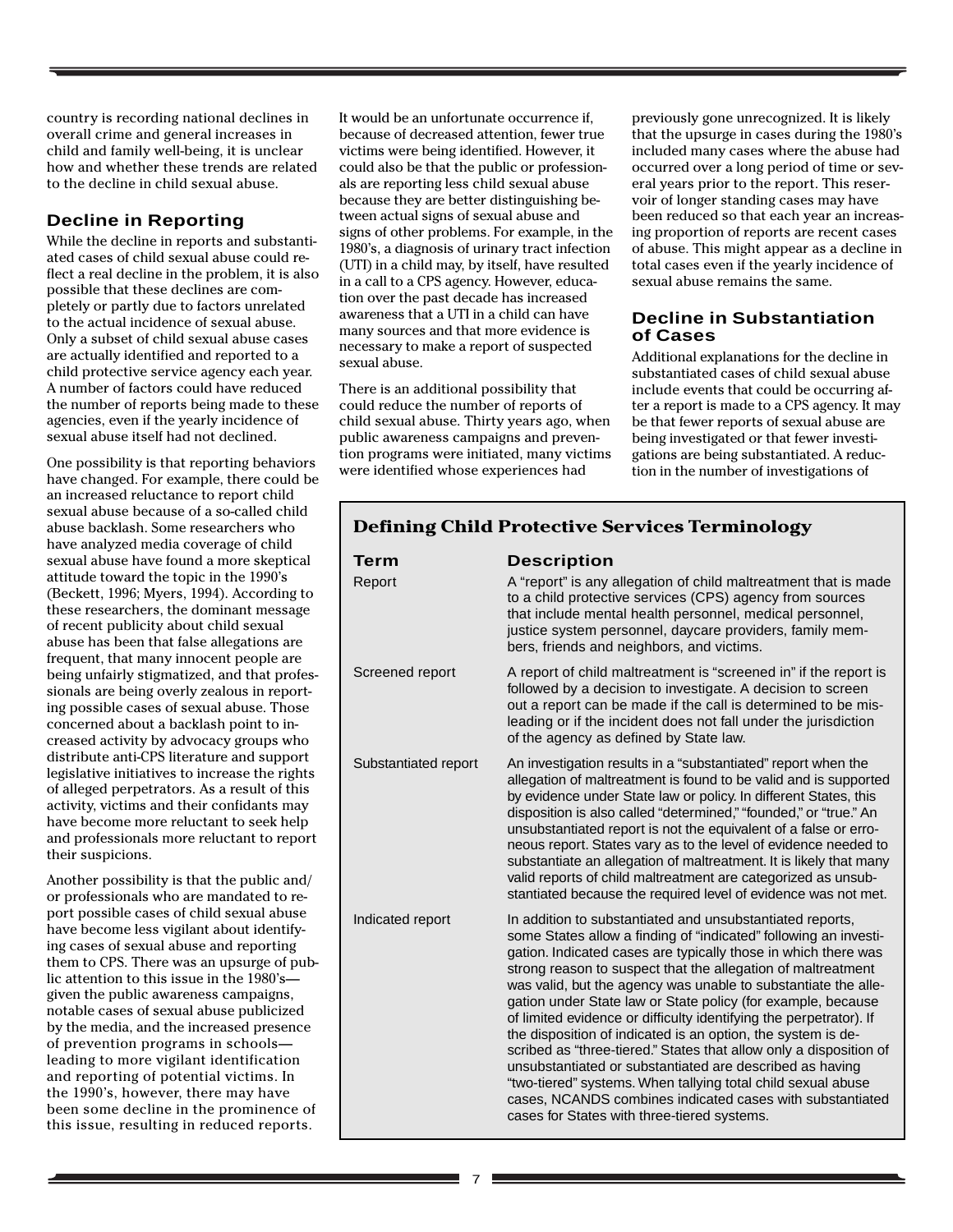country is recording national declines in overall crime and general increases in child and family well-being, it is unclear how and whether these trends are related to the decline in child sexual abuse.

#### **Decline in Reporting**

While the decline in reports and substantiated cases of child sexual abuse could reflect a real decline in the problem, it is also possible that these declines are completely or partly due to factors unrelated to the actual incidence of sexual abuse. Only a subset of child sexual abuse cases are actually identified and reported to a child protective service agency each year. A number of factors could have reduced the number of reports being made to these agencies, even if the yearly incidence of sexual abuse itself had not declined.

One possibility is that reporting behaviors have changed. For example, there could be an increased reluctance to report child sexual abuse because of a so-called child abuse backlash. Some researchers who have analyzed media coverage of child sexual abuse have found a more skeptical attitude toward the topic in the 1990's (Beckett, 1996; Myers, 1994). According to these researchers, the dominant message of recent publicity about child sexual abuse has been that false allegations are frequent, that many innocent people are being unfairly stigmatized, and that professionals are being overly zealous in reporting possible cases of sexual abuse. Those concerned about a backlash point to increased activity by advocacy groups who distribute anti-CPS literature and support legislative initiatives to increase the rights of alleged perpetrators. As a result of this activity, victims and their confidants may have become more reluctant to seek help and professionals more reluctant to report their suspicions.

Another possibility is that the public and/ or professionals who are mandated to report possible cases of child sexual abuse have become less vigilant about identifying cases of sexual abuse and reporting them to CPS. There was an upsurge of public attention to this issue in the 1980's given the public awareness campaigns, notable cases of sexual abuse publicized by the media, and the increased presence of prevention programs in schools leading to more vigilant identification and reporting of potential victims. In the 1990's, however, there may have been some decline in the prominence of this issue, resulting in reduced reports.

It would be an unfortunate occurrence if, because of decreased attention, fewer true victims were being identified. However, it could also be that the public or professionals are reporting less child sexual abuse because they are better distinguishing between actual signs of sexual abuse and signs of other problems. For example, in the 1980's, a diagnosis of urinary tract infection (UTI) in a child may, by itself, have resulted in a call to a CPS agency. However, education over the past decade has increased awareness that a UTI in a child can have many sources and that more evidence is necessary to make a report of suspected sexual abuse.

There is an additional possibility that could reduce the number of reports of child sexual abuse. Thirty years ago, when public awareness campaigns and prevention programs were initiated, many victims were identified whose experiences had

previously gone unrecognized. It is likely that the upsurge in cases during the 1980's included many cases where the abuse had occurred over a long period of time or several years prior to the report. This reservoir of longer standing cases may have been reduced so that each year an increasing proportion of reports are recent cases of abuse. This might appear as a decline in total cases even if the yearly incidence of sexual abuse remains the same.

#### **Decline in Substantiation of Cases**

Additional explanations for the decline in substantiated cases of child sexual abuse include events that could be occurring after a report is made to a CPS agency. It may be that fewer reports of sexual abuse are being investigated or that fewer investigations are being substantiated. A reduction in the number of investigations of

| Term<br>Report       | <b>Description</b><br>A "report" is any allegation of child maltreatment that is made<br>to a child protective services (CPS) agency from sources<br>that include mental health personnel, medical personnel,<br>justice system personnel, daycare providers, family mem-<br>bers, friends and neighbors, and victims.                                                                                                                                                                                                                                                                                                                                                                                                                                                                                                                                |  |
|----------------------|-------------------------------------------------------------------------------------------------------------------------------------------------------------------------------------------------------------------------------------------------------------------------------------------------------------------------------------------------------------------------------------------------------------------------------------------------------------------------------------------------------------------------------------------------------------------------------------------------------------------------------------------------------------------------------------------------------------------------------------------------------------------------------------------------------------------------------------------------------|--|
| Screened report      | A report of child maltreatment is "screened in" if the report is<br>followed by a decision to investigate. A decision to screen<br>out a report can be made if the call is determined to be mis-<br>leading or if the incident does not fall under the jurisdiction<br>of the agency as defined by State law.                                                                                                                                                                                                                                                                                                                                                                                                                                                                                                                                         |  |
| Substantiated report | An investigation results in a "substantiated" report when the<br>allegation of maltreatment is found to be valid and is supported<br>by evidence under State law or policy. In different States, this<br>disposition is also called "determined," "founded," or "true." An<br>unsubstantiated report is not the equivalent of a false or erro-<br>neous report. States vary as to the level of evidence needed to<br>substantiate an allegation of maltreatment. It is likely that many<br>valid reports of child maltreatment are categorized as unsub-<br>stantiated because the required level of evidence was not met.                                                                                                                                                                                                                            |  |
| Indicated report     | In addition to substantiated and unsubstantiated reports,<br>some States allow a finding of "indicated" following an investi-<br>gation. Indicated cases are typically those in which there was<br>strong reason to suspect that the allegation of maltreatment<br>was valid, but the agency was unable to substantiate the alle-<br>gation under State law or State policy (for example, because<br>of limited evidence or difficulty identifying the perpetrator). If<br>the disposition of indicated is an option, the system is de-<br>scribed as "three-tiered." States that allow only a disposition of<br>unsubstantiated or substantiated are described as having<br>"two-tiered" systems. When tallying total child sexual abuse<br>cases, NCANDS combines indicated cases with substantiated<br>cases for States with three-tiered systems. |  |

# **Defining Child Protective Services Terminology**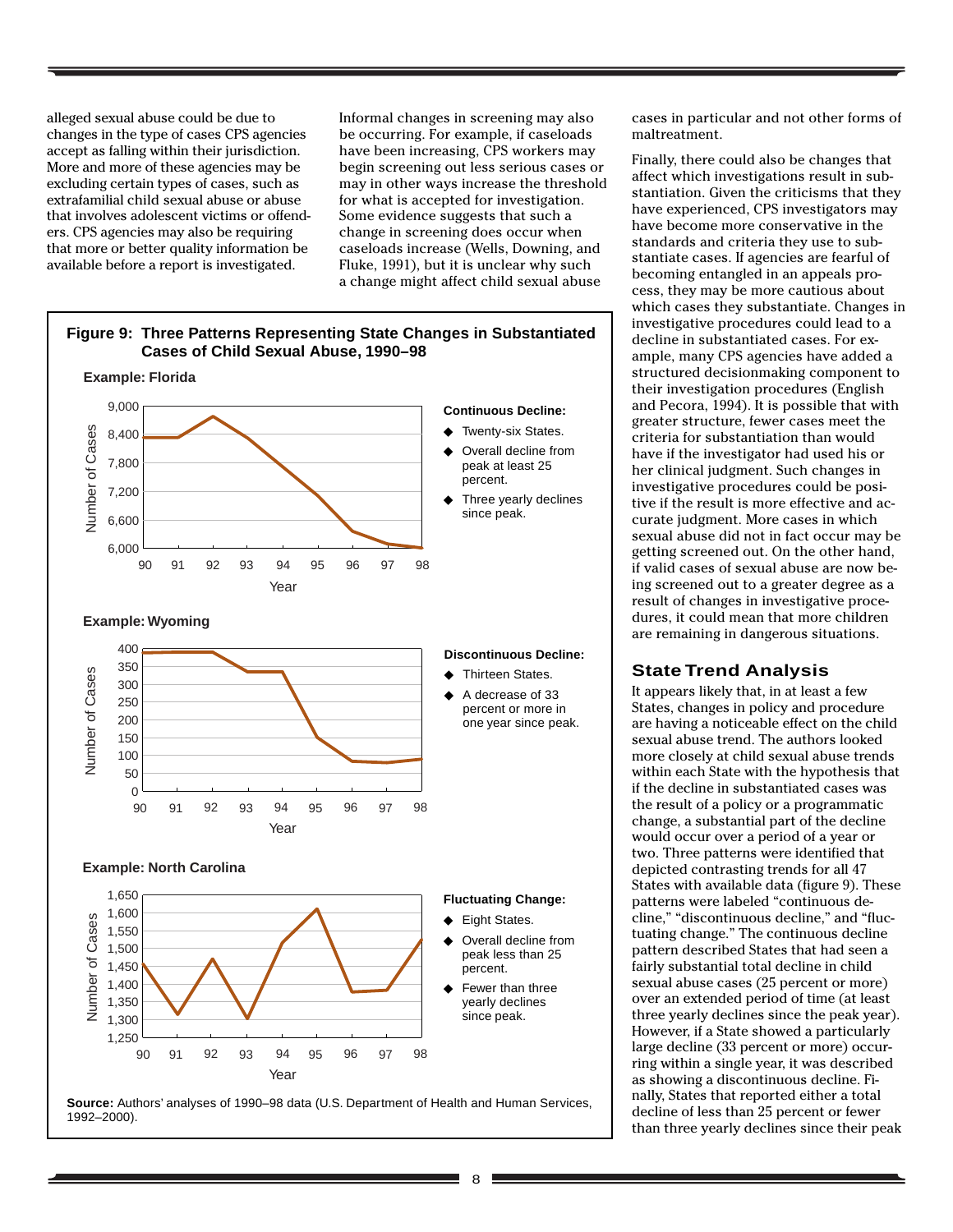alleged sexual abuse could be due to changes in the type of cases CPS agencies accept as falling within their jurisdiction. More and more of these agencies may be excluding certain types of cases, such as extrafamilial child sexual abuse or abuse that involves adolescent victims or offenders. CPS agencies may also be requiring that more or better quality information be available before a report is investigated.

Informal changes in screening may also be occurring. For example, if caseloads have been increasing, CPS workers may begin screening out less serious cases or may in other ways increase the threshold for what is accepted for investigation. Some evidence suggests that such a change in screening does occur when caseloads increase (Wells, Downing, and Fluke, 1991), but it is unclear why such a change might affect child sexual abuse



cases in particular and not other forms of maltreatment.

Finally, there could also be changes that affect which investigations result in substantiation. Given the criticisms that they have experienced, CPS investigators may have become more conservative in the standards and criteria they use to substantiate cases. If agencies are fearful of becoming entangled in an appeals process, they may be more cautious about which cases they substantiate. Changes in investigative procedures could lead to a decline in substantiated cases. For example, many CPS agencies have added a structured decisionmaking component to their investigation procedures (English and Pecora, 1994). It is possible that with greater structure, fewer cases meet the criteria for substantiation than would have if the investigator had used his or her clinical judgment. Such changes in investigative procedures could be positive if the result is more effective and accurate judgment. More cases in which sexual abuse did not in fact occur may be getting screened out. On the other hand, if valid cases of sexual abuse are now being screened out to a greater degree as a result of changes in investigative procedures, it could mean that more children are remaining in dangerous situations.

#### **State Trend Analysis**

It appears likely that, in at least a few States, changes in policy and procedure are having a noticeable effect on the child sexual abuse trend. The authors looked more closely at child sexual abuse trends within each State with the hypothesis that if the decline in substantiated cases was the result of a policy or a programmatic change, a substantial part of the decline would occur over a period of a year or two. Three patterns were identified that depicted contrasting trends for all 47 States with available data (figure 9). These patterns were labeled "continuous decline," "discontinuous decline," and "fluctuating change." The continuous decline pattern described States that had seen a fairly substantial total decline in child sexual abuse cases (25 percent or more) over an extended period of time (at least three yearly declines since the peak year). However, if a State showed a particularly large decline (33 percent or more) occurring within a single year, it was described as showing a discontinuous decline. Finally, States that reported either a total decline of less than 25 percent or fewer than three yearly declines since their peak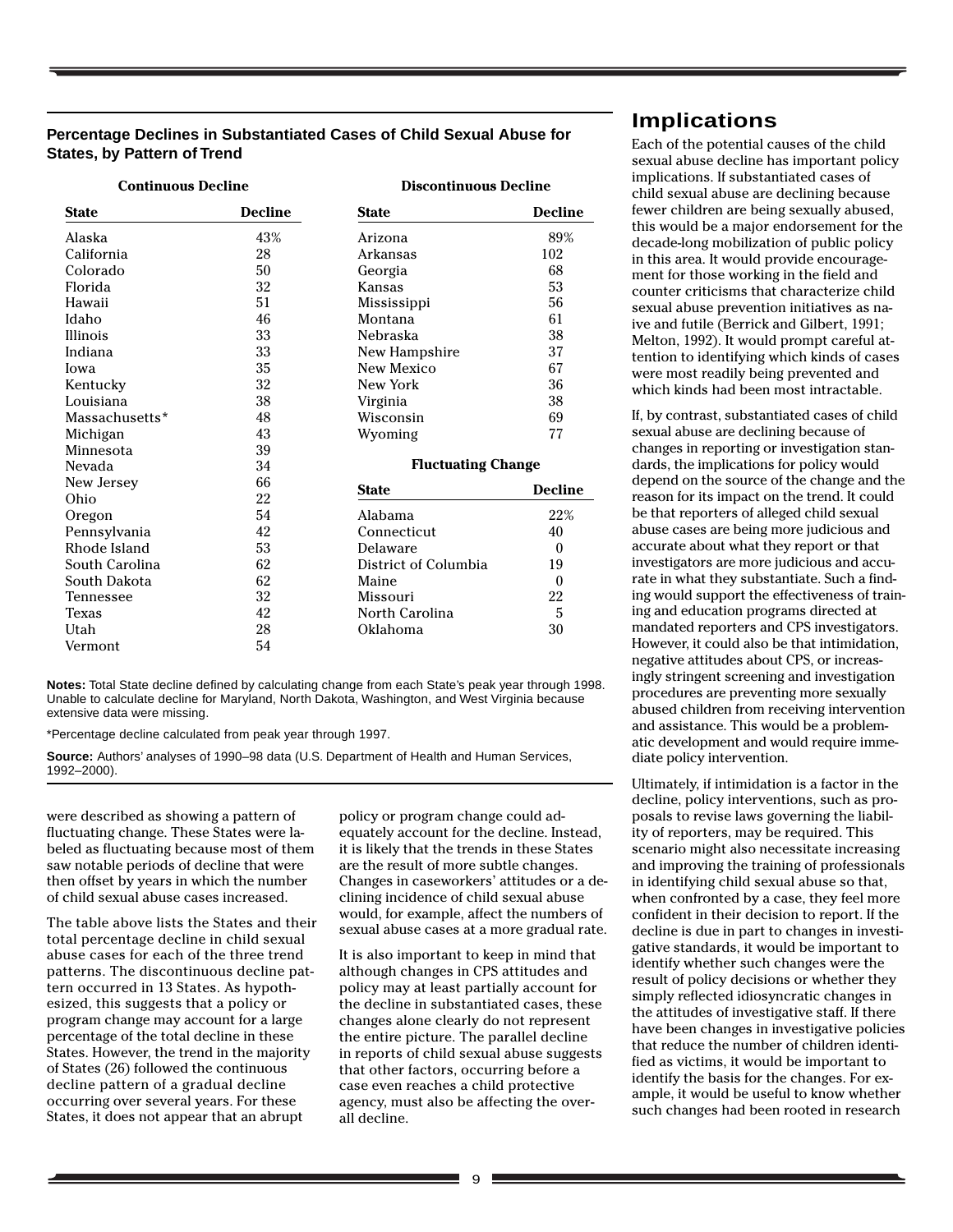#### **Percentage Declines in Substantiated Cases of Child Sexual Abuse for States, by Pattern of Trend**

| <b>Continuous Decline</b> |                | <b>Discontinuous Decline</b> |                |  |
|---------------------------|----------------|------------------------------|----------------|--|
| <b>State</b>              | <b>Decline</b> | <b>State</b>                 | <b>Decline</b> |  |
| Alaska                    | 43%            | Arizona                      | 89%            |  |
| California                | 28             | Arkansas                     | 102            |  |
| Colorado                  | 50             | Georgia                      | 68             |  |
| Florida                   | 32             | Kansas                       | 53             |  |
| Hawaii                    | 51             | Mississippi                  | 56             |  |
| Idaho                     | 46             | Montana                      | 61             |  |
| Illinois                  | 33             | Nebraska                     | 38             |  |
| Indiana                   | 33             | New Hampshire                | 37             |  |
| Iowa                      | 35             | New Mexico                   | 67             |  |
| Kentucky                  | 32             | New York                     | 36             |  |
| Louisiana                 | 38             | Virginia                     | 38             |  |
| Massachusetts*            | 48             | Wisconsin                    | 69             |  |
| Michigan                  | 43             | Wyoming                      | 77             |  |
| Minnesota                 | 39             |                              |                |  |
| Nevada                    | 34             | <b>Fluctuating Change</b>    |                |  |
| New Jersey                | 66             | <b>State</b>                 | <b>Decline</b> |  |
| Ohio                      | 22             |                              |                |  |
| Oregon                    | 54             | Alabama                      | 22%            |  |
| Pennsylvania              | 42             | Connecticut                  | 40             |  |
| Rhode Island              | 53             | Delaware                     | $\theta$       |  |
| South Carolina            | 62             | District of Columbia         | 19             |  |
| South Dakota              | 62             | Maine                        | $\theta$       |  |
| Tennessee                 | 32             | Missouri                     | 22             |  |
| Texas                     | 42             | North Carolina               | 5              |  |
| Utah                      | 28             | Oklahoma                     | 30             |  |
| Vermont                   | 54             |                              |                |  |

**Notes:** Total State decline defined by calculating change from each State's peak year through 1998. Unable to calculate decline for Maryland, North Dakota, Washington, and West Virginia because extensive data were missing.

\*Percentage decline calculated from peak year through 1997.

**Source:** Authors' analyses of 1990–98 data (U.S. Department of Health and Human Services, 1992–2000).

were described as showing a pattern of fluctuating change. These States were labeled as fluctuating because most of them saw notable periods of decline that were then offset by years in which the number of child sexual abuse cases increased.

The table above lists the States and their total percentage decline in child sexual abuse cases for each of the three trend patterns. The discontinuous decline pattern occurred in 13 States. As hypothesized, this suggests that a policy or program change may account for a large percentage of the total decline in these States. However, the trend in the majority of States (26) followed the continuous decline pattern of a gradual decline occurring over several years. For these States, it does not appear that an abrupt

policy or program change could adequately account for the decline. Instead, it is likely that the trends in these States are the result of more subtle changes. Changes in caseworkers' attitudes or a declining incidence of child sexual abuse would, for example, affect the numbers of sexual abuse cases at a more gradual rate.

It is also important to keep in mind that although changes in CPS attitudes and policy may at least partially account for the decline in substantiated cases, these changes alone clearly do not represent the entire picture. The parallel decline in reports of child sexual abuse suggests that other factors, occurring before a case even reaches a child protective agency, must also be affecting the overall decline.

# **Implications**

Each of the potential causes of the child sexual abuse decline has important policy implications. If substantiated cases of child sexual abuse are declining because fewer children are being sexually abused, this would be a major endorsement for the decade-long mobilization of public policy in this area. It would provide encouragement for those working in the field and counter criticisms that characterize child sexual abuse prevention initiatives as naive and futile (Berrick and Gilbert, 1991; Melton, 1992). It would prompt careful attention to identifying which kinds of cases were most readily being prevented and which kinds had been most intractable.

If, by contrast, substantiated cases of child sexual abuse are declining because of changes in reporting or investigation standards, the implications for policy would depend on the source of the change and the reason for its impact on the trend. It could be that reporters of alleged child sexual abuse cases are being more judicious and accurate about what they report or that investigators are more judicious and accurate in what they substantiate. Such a finding would support the effectiveness of training and education programs directed at mandated reporters and CPS investigators. However, it could also be that intimidation, negative attitudes about CPS, or increasingly stringent screening and investigation procedures are preventing more sexually abused children from receiving intervention and assistance. This would be a problematic development and would require immediate policy intervention.

Ultimately, if intimidation is a factor in the decline, policy interventions, such as proposals to revise laws governing the liability of reporters, may be required. This scenario might also necessitate increasing and improving the training of professionals in identifying child sexual abuse so that, when confronted by a case, they feel more confident in their decision to report. If the decline is due in part to changes in investigative standards, it would be important to identify whether such changes were the result of policy decisions or whether they simply reflected idiosyncratic changes in the attitudes of investigative staff. If there have been changes in investigative policies that reduce the number of children identified as victims, it would be important to identify the basis for the changes. For example, it would be useful to know whether such changes had been rooted in research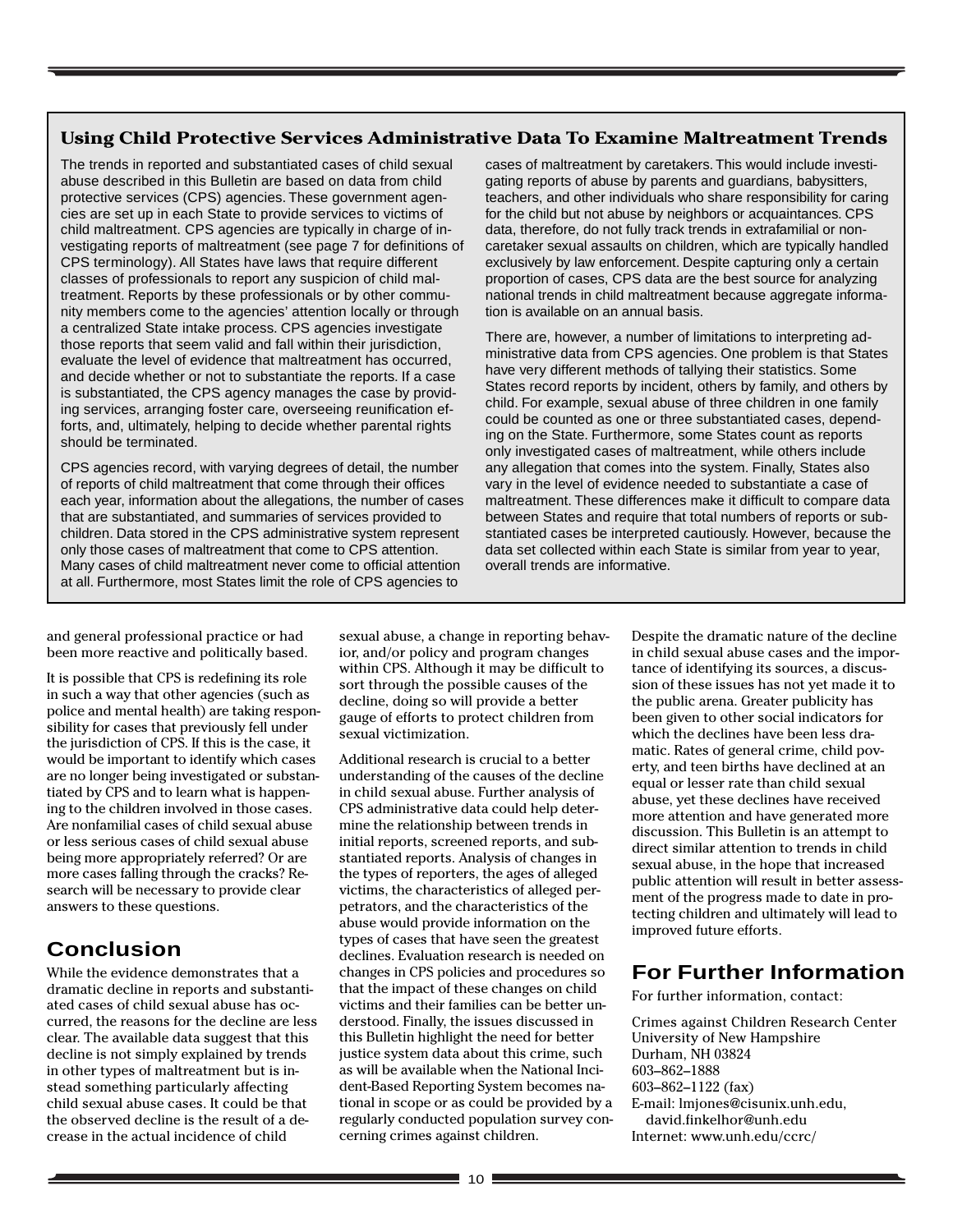#### **Using Child Protective Services Administrative Data To Examine Maltreatment Trends**

The trends in reported and substantiated cases of child sexual abuse described in this Bulletin are based on data from child protective services (CPS) agencies. These government agencies are set up in each State to provide services to victims of child maltreatment. CPS agencies are typically in charge of investigating reports of maltreatment (see page 7 for definitions of CPS terminology). All States have laws that require different classes of professionals to report any suspicion of child maltreatment. Reports by these professionals or by other community members come to the agencies' attention locally or through a centralized State intake process. CPS agencies investigate those reports that seem valid and fall within their jurisdiction, evaluate the level of evidence that maltreatment has occurred, and decide whether or not to substantiate the reports. If a case is substantiated, the CPS agency manages the case by providing services, arranging foster care, overseeing reunification efforts, and, ultimately, helping to decide whether parental rights should be terminated.

CPS agencies record, with varying degrees of detail, the number of reports of child maltreatment that come through their offices each year, information about the allegations, the number of cases that are substantiated, and summaries of services provided to children. Data stored in the CPS administrative system represent only those cases of maltreatment that come to CPS attention. Many cases of child maltreatment never come to official attention at all. Furthermore, most States limit the role of CPS agencies to

cases of maltreatment by caretakers. This would include investigating reports of abuse by parents and guardians, babysitters, teachers, and other individuals who share responsibility for caring for the child but not abuse by neighbors or acquaintances. CPS data, therefore, do not fully track trends in extrafamilial or noncaretaker sexual assaults on children, which are typically handled exclusively by law enforcement. Despite capturing only a certain proportion of cases, CPS data are the best source for analyzing national trends in child maltreatment because aggregate information is available on an annual basis.

There are, however, a number of limitations to interpreting administrative data from CPS agencies. One problem is that States have very different methods of tallying their statistics. Some States record reports by incident, others by family, and others by child. For example, sexual abuse of three children in one family could be counted as one or three substantiated cases, depending on the State. Furthermore, some States count as reports only investigated cases of maltreatment, while others include any allegation that comes into the system. Finally, States also vary in the level of evidence needed to substantiate a case of maltreatment. These differences make it difficult to compare data between States and require that total numbers of reports or substantiated cases be interpreted cautiously. However, because the data set collected within each State is similar from year to year, overall trends are informative.

and general professional practice or had been more reactive and politically based.

It is possible that CPS is redefining its role in such a way that other agencies (such as police and mental health) are taking responsibility for cases that previously fell under the jurisdiction of CPS. If this is the case, it would be important to identify which cases are no longer being investigated or substantiated by CPS and to learn what is happening to the children involved in those cases. Are nonfamilial cases of child sexual abuse or less serious cases of child sexual abuse being more appropriately referred? Or are more cases falling through the cracks? Research will be necessary to provide clear answers to these questions.

# **Conclusion**

While the evidence demonstrates that a dramatic decline in reports and substantiated cases of child sexual abuse has occurred, the reasons for the decline are less clear. The available data suggest that this decline is not simply explained by trends in other types of maltreatment but is instead something particularly affecting child sexual abuse cases. It could be that the observed decline is the result of a decrease in the actual incidence of child

sexual abuse, a change in reporting behavior, and/or policy and program changes within CPS. Although it may be difficult to sort through the possible causes of the decline, doing so will provide a better gauge of efforts to protect children from sexual victimization.

Additional research is crucial to a better understanding of the causes of the decline in child sexual abuse. Further analysis of CPS administrative data could help determine the relationship between trends in initial reports, screened reports, and substantiated reports. Analysis of changes in the types of reporters, the ages of alleged victims, the characteristics of alleged perpetrators, and the characteristics of the abuse would provide information on the types of cases that have seen the greatest declines. Evaluation research is needed on changes in CPS policies and procedures so that the impact of these changes on child victims and their families can be better understood. Finally, the issues discussed in this Bulletin highlight the need for better justice system data about this crime, such as will be available when the National Incident-Based Reporting System becomes national in scope or as could be provided by a regularly conducted population survey concerning crimes against children.

Despite the dramatic nature of the decline in child sexual abuse cases and the importance of identifying its sources, a discussion of these issues has not yet made it to the public arena. Greater publicity has been given to other social indicators for which the declines have been less dramatic. Rates of general crime, child poverty, and teen births have declined at an equal or lesser rate than child sexual abuse, yet these declines have received more attention and have generated more discussion. This Bulletin is an attempt to direct similar attention to trends in child sexual abuse, in the hope that increased public attention will result in better assessment of the progress made to date in protecting children and ultimately will lead to improved future efforts.

# **For Further Information**

For further information, contact:

Crimes against Children Research Center University of New Hampshire Durham, NH 03824 603–862–1888 603–862–1122 (fax) E-mail: lmjones@cisunix.unh.edu, david.finkelhor@unh.edu Internet: www.unh.edu/ccrc/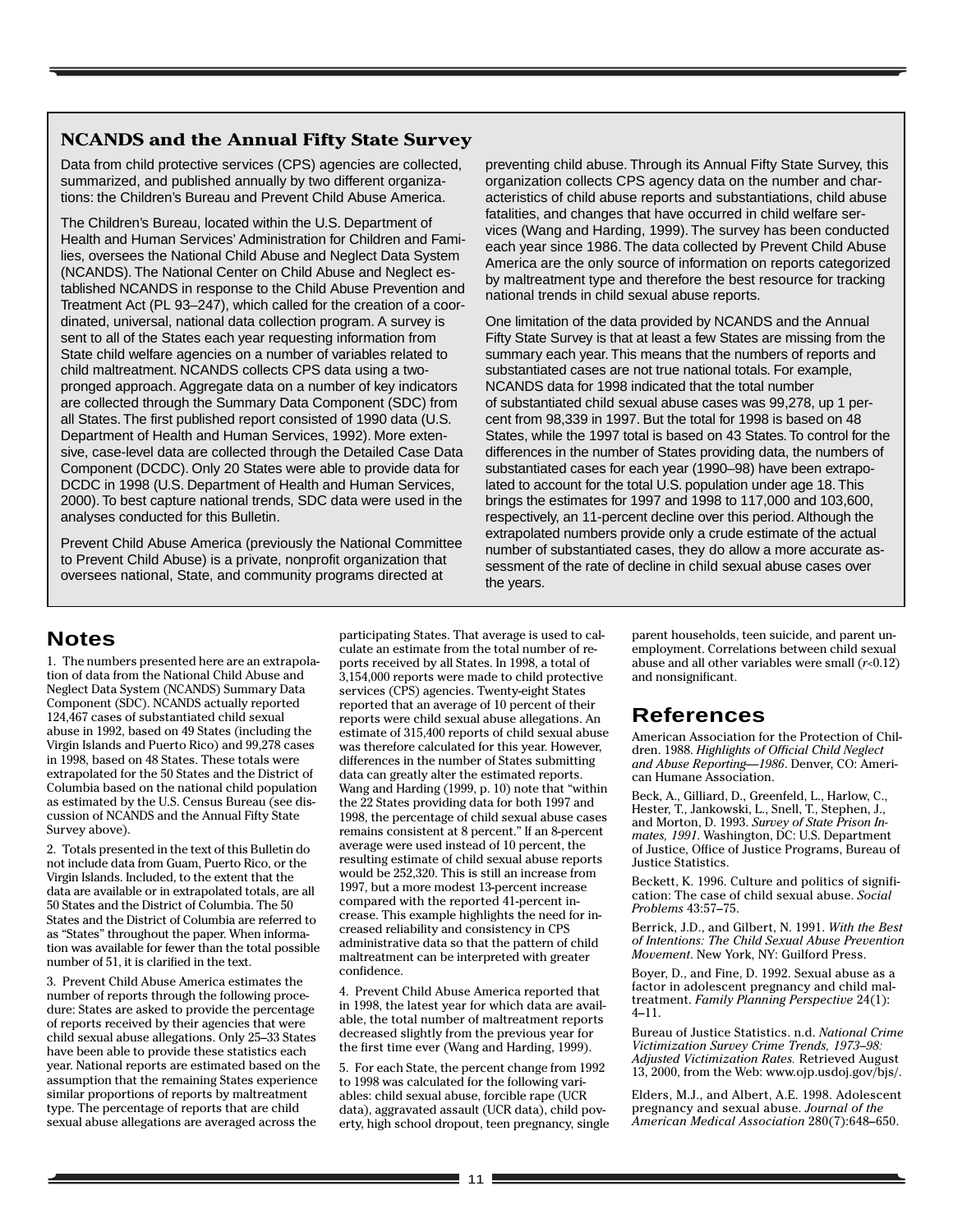#### **NCANDS and the Annual Fifty State Survey**

Data from child protective services (CPS) agencies are collected, summarized, and published annually by two different organizations: the Children's Bureau and Prevent Child Abuse America.

The Children's Bureau, located within the U.S. Department of Health and Human Services' Administration for Children and Families, oversees the National Child Abuse and Neglect Data System (NCANDS). The National Center on Child Abuse and Neglect established NCANDS in response to the Child Abuse Prevention and Treatment Act (PL 93–247), which called for the creation of a coordinated, universal, national data collection program. A survey is sent to all of the States each year requesting information from State child welfare agencies on a number of variables related to child maltreatment. NCANDS collects CPS data using a twopronged approach. Aggregate data on a number of key indicators are collected through the Summary Data Component (SDC) from all States. The first published report consisted of 1990 data (U.S. Department of Health and Human Services, 1992). More extensive, case-level data are collected through the Detailed Case Data Component (DCDC). Only 20 States were able to provide data for DCDC in 1998 (U.S. Department of Health and Human Services, 2000). To best capture national trends, SDC data were used in the analyses conducted for this Bulletin.

Prevent Child Abuse America (previously the National Committee to Prevent Child Abuse) is a private, nonprofit organization that oversees national, State, and community programs directed at

preventing child abuse. Through its Annual Fifty State Survey, this organization collects CPS agency data on the number and characteristics of child abuse reports and substantiations, child abuse fatalities, and changes that have occurred in child welfare services (Wang and Harding, 1999). The survey has been conducted each year since 1986. The data collected by Prevent Child Abuse America are the only source of information on reports categorized by maltreatment type and therefore the best resource for tracking national trends in child sexual abuse reports.

One limitation of the data provided by NCANDS and the Annual Fifty State Survey is that at least a few States are missing from the summary each year. This means that the numbers of reports and substantiated cases are not true national totals. For example, NCANDS data for 1998 indicated that the total number of substantiated child sexual abuse cases was 99,278, up 1 percent from 98,339 in 1997. But the total for 1998 is based on 48 States, while the 1997 total is based on 43 States. To control for the differences in the number of States providing data, the numbers of substantiated cases for each year (1990–98) have been extrapolated to account for the total U.S. population under age 18. This brings the estimates for 1997 and 1998 to 117,000 and 103,600, respectively, an 11-percent decline over this period. Although the extrapolated numbers provide only a crude estimate of the actual number of substantiated cases, they do allow a more accurate assessment of the rate of decline in child sexual abuse cases over the years.

## **Notes**

1. The numbers presented here are an extrapolation of data from the National Child Abuse and Neglect Data System (NCANDS) Summary Data Component (SDC). NCANDS actually reported 124,467 cases of substantiated child sexual abuse in 1992, based on 49 States (including the Virgin Islands and Puerto Rico) and 99,278 cases in 1998, based on 48 States. These totals were extrapolated for the 50 States and the District of Columbia based on the national child population as estimated by the U.S. Census Bureau (see discussion of NCANDS and the Annual Fifty State Survey above).

2. Totals presented in the text of this Bulletin do not include data from Guam, Puerto Rico, or the Virgin Islands. Included, to the extent that the data are available or in extrapolated totals, are all 50 States and the District of Columbia. The 50 States and the District of Columbia are referred to as "States" throughout the paper. When information was available for fewer than the total possible number of 51, it is clarified in the text.

3. Prevent Child Abuse America estimates the number of reports through the following procedure: States are asked to provide the percentage of reports received by their agencies that were child sexual abuse allegations. Only 25–33 States have been able to provide these statistics each year. National reports are estimated based on the assumption that the remaining States experience similar proportions of reports by maltreatment type. The percentage of reports that are child sexual abuse allegations are averaged across the

participating States. That average is used to calculate an estimate from the total number of reports received by all States. In 1998, a total of 3,154,000 reports were made to child protective services (CPS) agencies. Twenty-eight States reported that an average of 10 percent of their reports were child sexual abuse allegations. An estimate of 315,400 reports of child sexual abuse was therefore calculated for this year. However, differences in the number of States submitting data can greatly alter the estimated reports. Wang and Harding (1999, p. 10) note that "within the 22 States providing data for both 1997 and 1998, the percentage of child sexual abuse cases remains consistent at 8 percent." If an 8-percent average were used instead of 10 percent, the resulting estimate of child sexual abuse reports would be 252,320. This is still an increase from 1997, but a more modest 13-percent increase compared with the reported 41-percent increase. This example highlights the need for increased reliability and consistency in CPS administrative data so that the pattern of child maltreatment can be interpreted with greater confidence.

4. Prevent Child Abuse America reported that in 1998, the latest year for which data are available, the total number of maltreatment reports decreased slightly from the previous year for the first time ever (Wang and Harding, 1999).

5. For each State, the percent change from 1992 to 1998 was calculated for the following variables: child sexual abuse, forcible rape (UCR data), aggravated assault (UCR data), child poverty, high school dropout, teen pregnancy, single parent households, teen suicide, and parent unemployment. Correlations between child sexual abuse and all other variables were small (*r*<0.12) and nonsignificant.

# **References**

American Association for the Protection of Children. 1988. *Highlights of Official Child Neglect and Abuse Reporting—1986*. Denver, CO: American Humane Association.

Beck, A., Gilliard, D., Greenfeld, L., Harlow, C., Hester, T., Jankowski, L., Snell, T., Stephen, J., and Morton, D. 1993. *Survey of State Prison Inmates, 1991*. Washington, DC: U.S. Department of Justice, Office of Justice Programs, Bureau of Justice Statistics.

Beckett, K. 1996. Culture and politics of signification: The case of child sexual abuse. *Social Problems* 43:57–75.

Berrick, J.D., and Gilbert, N. 1991. *With the Best of Intentions: The Child Sexual Abuse Prevention Movement*. New York, NY: Guilford Press.

Boyer, D., and Fine, D. 1992. Sexual abuse as a factor in adolescent pregnancy and child maltreatment. *Family Planning Perspective* 24(1): 4–11.

Bureau of Justice Statistics. n.d. *National Crime Victimization Survey Crime Trends, 1973–98: Adjusted Victimization Rates.* Retrieved August 13, 2000, from the Web: www.ojp.usdoj.gov/bjs/.

Elders, M.J., and Albert, A.E. 1998. Adolescent pregnancy and sexual abuse. *Journal of the American Medical Association* 280(7):648–650.